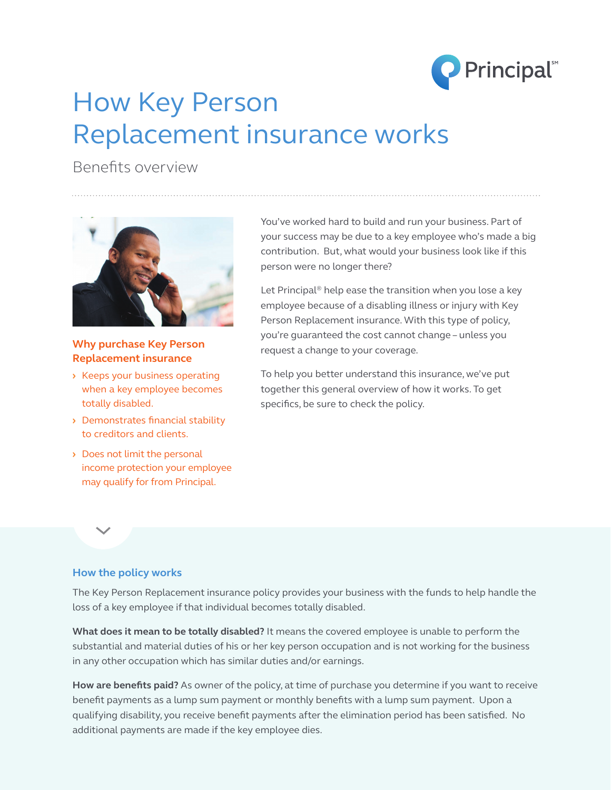

# How Key Person Replacement insurance works

Benefits overview



## **Why purchase Key Person Replacement insurance**

- **›** Keeps your business operating when a key employee becomes totally disabled.
- **›** Demonstrates financial stability to creditors and clients.
- **›** Does not limit the personal income protection your employee may qualify for from Principal.

You've worked hard to build and run your business. Part of your success may be due to a key employee who's made a big contribution. But, what would your business look like if this person were no longer there?

Let Principal<sup>®</sup> help ease the transition when you lose a key employee because of a disabling illness or injury with Key Person Replacement insurance. With this type of policy, you're guaranteed the cost cannot change – unless you request a change to your coverage.

To help you better understand this insurance, we've put together this general overview of how it works. To get specifics, be sure to check the policy.

#### **How the policy works**

The Key Person Replacement insurance policy provides your business with the funds to help handle the loss of a key employee if that individual becomes totally disabled.

**What does it mean to be totally disabled?** It means the covered employee is unable to perform the substantial and material duties of his or her key person occupation and is not working for the business in any other occupation which has similar duties and/or earnings.

**How are benefits paid?** As owner of the policy, at time of purchase you determine if you want to receive benefit payments as a lump sum payment or monthly benefits with a lump sum payment. Upon a qualifying disability, you receive benefit payments after the elimination period has been satisfied. No additional payments are made if the key employee dies.